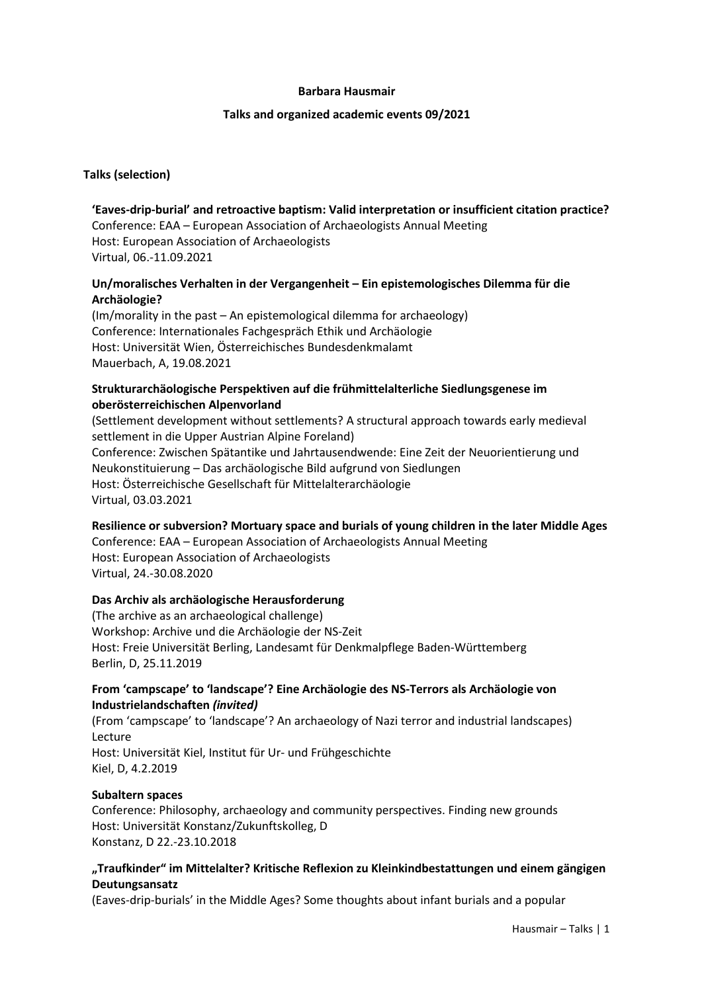### **Barbara Hausmair**

#### **Talks and organized academic events 09/2021**

### **Talks (selection)**

# **'Eaves-drip-burial' and retroactive baptism: Valid interpretation or insufficient citation practice?** Conference: EAA – European Association of Archaeologists Annual Meeting Host: European Association of Archaeologists Virtual, 06.-11.09.2021

# **Un/moralisches Verhalten in der Vergangenheit – Ein epistemologisches Dilemma für die Archäologie?**

(Im/morality in the past – An epistemological dilemma for archaeology) Conference: Internationales Fachgespräch Ethik und Archäologie Host: Universität Wien, Österreichisches Bundesdenkmalamt Mauerbach, A, 19.08.2021

## **Strukturarchäologische Perspektiven auf die frühmittelalterliche Siedlungsgenese im oberösterreichischen Alpenvorland**

(Settlement development without settlements? A structural approach towards early medieval settlement in die Upper Austrian Alpine Foreland) Conference: Zwischen Spätantike und Jahrtausendwende: Eine Zeit der Neuorientierung und Neukonstituierung – Das archäologische Bild aufgrund von Siedlungen Host: Österreichische Gesellschaft für Mittelalterarchäologie Virtual, 03.03.2021

# **Resilience or subversion? Mortuary space and burials of young children in the later Middle Ages**

Conference: EAA – European Association of Archaeologists Annual Meeting Host: European Association of Archaeologists Virtual, 24.-30.08.2020

### **Das Archiv als archäologische Herausforderung**

(The archive as an archaeological challenge) Workshop: Archive und die Archäologie der NS-Zeit Host: Freie Universität Berling, Landesamt für Denkmalpflege Baden-Württemberg Berlin, D, 25.11.2019

## **From 'campscape' to 'landscape'? Eine Archäologie des NS-Terrors als Archäologie von Industrielandschaften** *(invited)*

(From 'campscape' to 'landscape'? An archaeology of Nazi terror and industrial landscapes) Lecture Host: Universität Kiel, Institut für Ur- und Frühgeschichte

Kiel, D, 4.2.2019

### **Subaltern spaces**

Conference: Philosophy, archaeology and community perspectives. Finding new grounds Host: Universität Konstanz/Zukunftskolleg, D Konstanz, D 22.-23.10.2018

## **"Traufkinder" im Mittelalter? Kritische Reflexion zu Kleinkindbestattungen und einem gängigen Deutungsansatz**

(Eaves-drip-burials' in the Middle Ages? Some thoughts about infant burials and a popular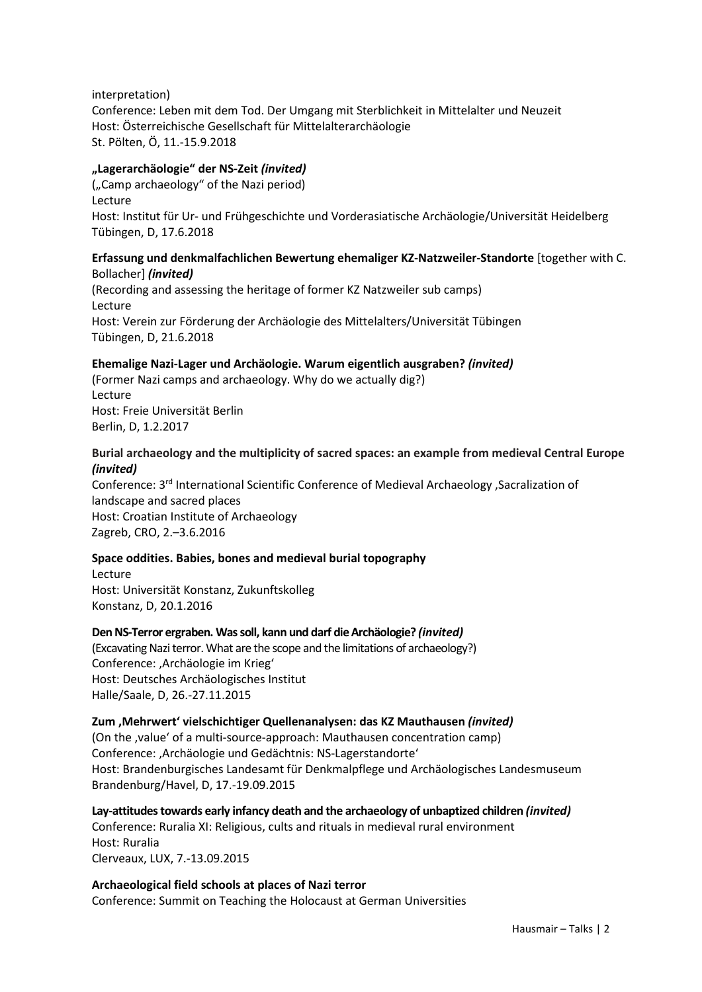interpretation) Conference: Leben mit dem Tod. Der Umgang mit Sterblichkeit in Mittelalter und Neuzeit Host: Österreichische Gesellschaft für Mittelalterarchäologie St. Pölten, Ö, 11.-15.9.2018

## **"Lagerarchäologie" der NS-Zeit** *(invited)*

("Camp archaeology" of the Nazi period) Lecture Host: Institut für Ur- und Frühgeschichte und Vorderasiatische Archäologie/Universität Heidelberg Tübingen, D, 17.6.2018

## **Erfassung und denkmalfachlichen Bewertung ehemaliger KZ-Natzweiler-Standorte** [together with C. Bollacher] *(invited)*

(Recording and assessing the heritage of former KZ Natzweiler sub camps) Lecture Host: Verein zur Förderung der Archäologie des Mittelalters/Universität Tübingen Tübingen, D, 21.6.2018

## **Ehemalige Nazi-Lager und Archäologie. Warum eigentlich ausgraben?** *(invited)*

(Former Nazi camps and archaeology. Why do we actually dig?) Lecture Host: Freie Universität Berlin Berlin, D, 1.2.2017

## **Burial archaeology and the multiplicity of sacred spaces: an example from medieval Central Europe** *(invited)*

Conference: 3rd International Scientific Conference of Medieval Archaeology 'Sacralization of landscape and sacred places Host: Croatian Institute of Archaeology Zagreb, CRO, 2.–3.6.2016

### **Space oddities. Babies, bones and medieval burial topography**

Lecture Host: Universität Konstanz, Zukunftskolleg Konstanz, D, 20.1.2016

### **Den NS-Terror ergraben. Was soll, kann und darf die Archäologie?** *(invited)*

(Excavating Nazi terror. What are the scope and the limitations of archaeology?) Conference: , Archäologie im Krieg' Host: Deutsches Archäologisches Institut Halle/Saale, D, 26.-27.11.2015

### **Zum 'Mehrwert' vielschichtiger Quellenanalysen: das KZ Mauthausen** *(invited)*

(On the , value' of a multi-source-approach: Mauthausen concentration camp) Conference: , Archäologie und Gedächtnis: NS-Lagerstandorte' Host: Brandenburgisches Landesamt für Denkmalpflege und Archäologisches Landesmuseum Brandenburg/Havel, D, 17.-19.09.2015

**Lay-attitudes towards early infancy death and the archaeology of unbaptized children** *(invited)* Conference: Ruralia XI: Religious, cults and rituals in medieval rural environment Host: Ruralia Clerveaux, LUX, 7.-13.09.2015

**Archaeological field schools at places of Nazi terror**  Conference: Summit on Teaching the Holocaust at German Universities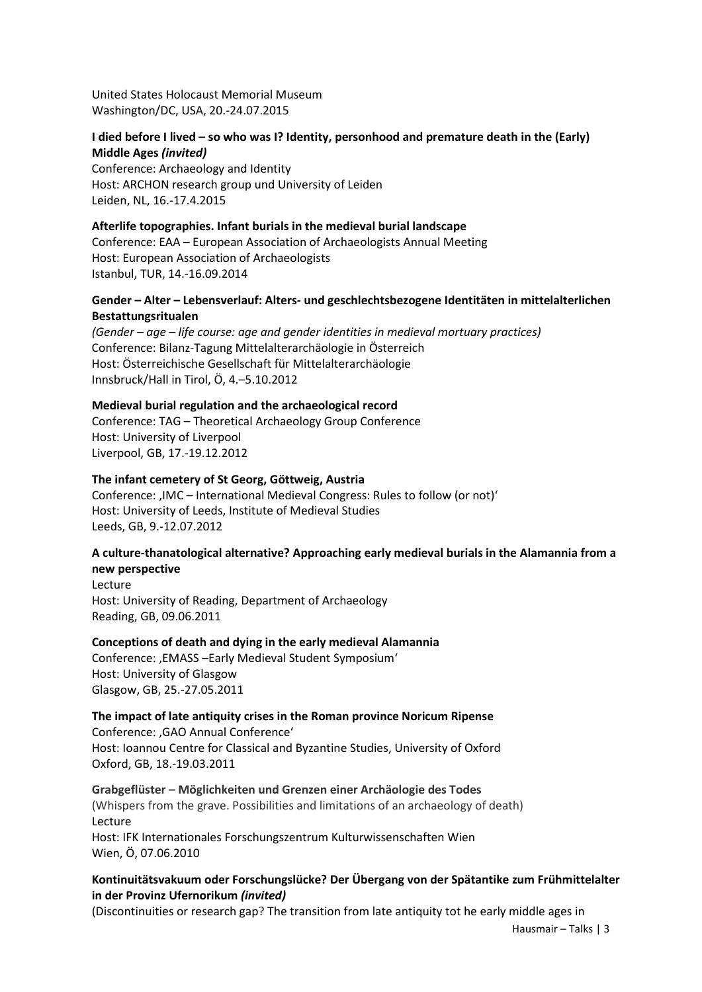United States Holocaust Memorial Museum Washington/DC, USA, 20.-24.07.2015

## **I died before I lived – so who was I? Identity, personhood and premature death in the (Early) Middle Ages** *(invited)*

Conference: Archaeology and Identity Host: ARCHON research group und University of Leiden Leiden, NL, 16.-17.4.2015

### **Afterlife topographies. Infant burials in the medieval burial landscape**

Conference: EAA – European Association of Archaeologists Annual Meeting Host: European Association of Archaeologists Istanbul, TUR, 14.-16.09.2014

# **Gender – Alter – Lebensverlauf: Alters- und geschlechtsbezogene Identitäten in mittelalterlichen Bestattungsritualen**

*(Gender – age – life course: age and gender identities in medieval mortuary practices)* Conference: Bilanz-Tagung Mittelalterarchäologie in Österreich Host: Österreichische Gesellschaft für Mittelalterarchäologie Innsbruck/Hall in Tirol, Ö, 4.–5.10.2012

# **Medieval burial regulation and the archaeological record**

Conference: TAG – Theoretical Archaeology Group Conference Host: University of Liverpool Liverpool, GB, 17.-19.12.2012

## **The infant cemetery of St Georg, Göttweig, Austria**

Conference: , IMC – International Medieval Congress: Rules to follow (or not)' Host: University of Leeds, Institute of Medieval Studies Leeds, GB, 9.-12.07.2012

# **A culture-thanatological alternative? Approaching early medieval burials in the Alamannia from a new perspective**

Lecture Host: University of Reading, Department of Archaeology Reading, GB, 09.06.2011

### **Conceptions of death and dying in the early medieval Alamannia**

Conference: , EMASS - Early Medieval Student Symposium' Host: University of Glasgow Glasgow, GB, 25.-27.05.2011

# **The impact of late antiquity crises in the Roman province Noricum Ripense**

Conference: , GAO Annual Conference' Host: Ioannou Centre for Classical and Byzantine Studies, University of Oxford Oxford, GB, 18.-19.03.2011

### **Grabgeflüster – Möglichkeiten und Grenzen einer Archäologie des Todes**

(Whispers from the grave. Possibilities and limitations of an archaeology of death) Lecture

Host: IFK Internationales Forschungszentrum Kulturwissenschaften Wien Wien, Ö, 07.06.2010

## **Kontinuitätsvakuum oder Forschungslücke? Der Übergang von der Spätantike zum Frühmittelalter in der Provinz Ufernorikum** *(invited)*

(Discontinuities or research gap? The transition from late antiquity tot he early middle ages in